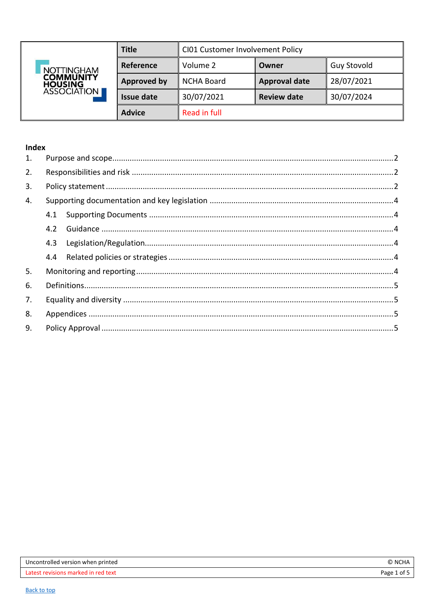<span id="page-0-0"></span>

| <b>NOTTINGHAM</b><br><b>COMMUNITY</b><br><b>HOUSING</b><br>ASSOCIATION | <b>Title</b>       | CI01 Customer Involvement Policy |                      |                    |
|------------------------------------------------------------------------|--------------------|----------------------------------|----------------------|--------------------|
|                                                                        | Reference          | Volume 2                         | Owner                | <b>Guy Stovold</b> |
|                                                                        | <b>Approved by</b> | <b>NCHA Board</b>                | <b>Approval date</b> | 28/07/2021         |
|                                                                        | <b>Issue date</b>  | 30/07/2021                       | <b>Review date</b>   | 30/07/2024         |
|                                                                        | <b>Advice</b>      | Read in full                     |                      |                    |

# Index

| 1. |     |  |
|----|-----|--|
| 2. |     |  |
| 3. |     |  |
| 4. |     |  |
|    | 4.1 |  |
|    | 4.2 |  |
|    | 4.3 |  |
|    | 4.4 |  |
| 5. |     |  |
| 6. |     |  |
| 7. |     |  |
| 8. |     |  |
| 9. |     |  |
|    |     |  |

| Uncontrolled version when printed   | © NCHA      |
|-------------------------------------|-------------|
| Latest revisions marked in red text | Page 1 of 5 |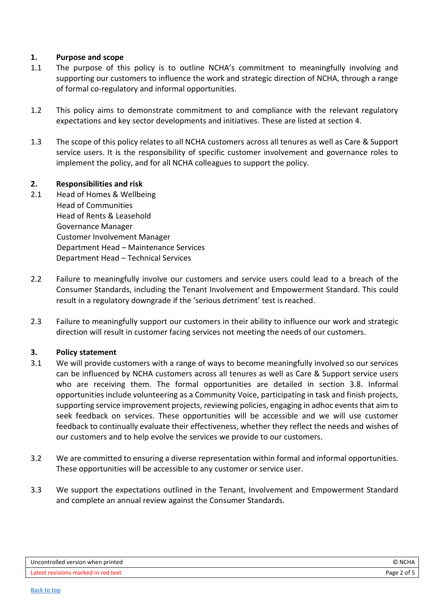### <span id="page-1-0"></span>**1. Purpose and scope**

- 1.1 The purpose of this policy is to outline NCHA's commitment to meaningfully involving and supporting our customers to influence the work and strategic direction of NCHA, through a range of formal co-regulatory and informal opportunities.
- 1.2 This policy aims to demonstrate commitment to and compliance with the relevant regulatory expectations and key sector developments and initiatives. These are listed at section 4.
- 1.3 The scope of this policy relates to all NCHA customers across all tenures as well as Care & Support service users. It is the responsibility of specific customer involvement and governance roles to implement the policy, and for all NCHA colleagues to support the policy.

### <span id="page-1-1"></span>**2. Responsibilities and risk**

- 2.1 Head of Homes & Wellbeing Head of Communities Head of Rents & Leasehold Governance Manager Customer Involvement Manager Department Head – Maintenance Services Department Head – Technical Services
- 2.2 Failure to meaningfully involve our customers and service users could lead to a breach of the Consumer Standards, including the Tenant Involvement and Empowerment Standard. This could result in a regulatory downgrade if the 'serious detriment' test is reached.
- 2.3 Failure to meaningfully support our customers in their ability to influence our work and strategic direction will result in customer facing services not meeting the needs of our customers.

#### <span id="page-1-2"></span>**3. Policy statement**

- 3.1 We will provide customers with a range of ways to become meaningfully involved so our services can be influenced by NCHA customers across all tenures as well as Care & Support service users who are receiving them. The formal opportunities are detailed in section 3.8. Informal opportunities include volunteering as a Community Voice, participating in task and finish projects, supporting service improvement projects, reviewing policies, engaging in adhoc events that aim to seek feedback on services. These opportunities will be accessible and we will use customer feedback to continually evaluate their effectiveness, whether they reflect the needs and wishes of our customers and to help evolve the services we provide to our customers.
- 3.2 We are committed to ensuring a diverse representation within formal and informal opportunities. These opportunities will be accessible to any customer or service user.
- 3.3 We support the expectations outlined in the Tenant, Involvement and Empowerment Standard and complete an annual review against the Consumer Standards.

| Uncontrolled version when printed   | NCHA        |
|-------------------------------------|-------------|
| Latest revisions marked in red text | Page 2 of 5 |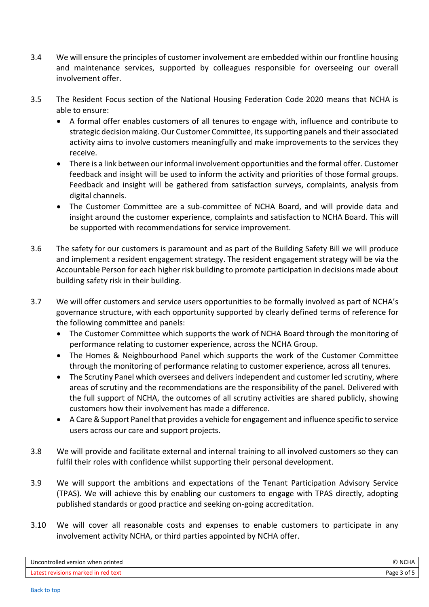- 3.4 We will ensure the principles of customer involvement are embedded within our frontline housing and maintenance services, supported by colleagues responsible for overseeing our overall involvement offer.
- 3.5 The Resident Focus section of the National Housing Federation Code 2020 means that NCHA is able to ensure:
	- A formal offer enables customers of all tenures to engage with, influence and contribute to strategic decision making. Our Customer Committee, itssupporting panels and their associated activity aims to involve customers meaningfully and make improvements to the services they receive.
	- There is a link between our informal involvement opportunities and the formal offer. Customer feedback and insight will be used to inform the activity and priorities of those formal groups. Feedback and insight will be gathered from satisfaction surveys, complaints, analysis from digital channels.
	- The Customer Committee are a sub-committee of NCHA Board, and will provide data and insight around the customer experience, complaints and satisfaction to NCHA Board. This will be supported with recommendations for service improvement.
- 3.6 The safety for our customers is paramount and as part of the Building Safety Bill we will produce and implement a resident engagement strategy. The resident engagement strategy will be via the Accountable Person for each higher risk building to promote participation in decisions made about building safety risk in their building.
- 3.7 We will offer customers and service users opportunities to be formally involved as part of NCHA's governance structure, with each opportunity supported by clearly defined terms of reference for the following committee and panels:
	- The Customer Committee which supports the work of NCHA Board through the monitoring of performance relating to customer experience, across the NCHA Group.
	- The Homes & Neighbourhood Panel which supports the work of the Customer Committee through the monitoring of performance relating to customer experience, across all tenures.
	- The Scrutiny Panel which oversees and delivers independent and customer led scrutiny, where areas of scrutiny and the recommendations are the responsibility of the panel. Delivered with the full support of NCHA, the outcomes of all scrutiny activities are shared publicly, showing customers how their involvement has made a difference.
	- A Care & Support Panel that provides a vehicle for engagement and influence specific to service users across our care and support projects.
- 3.8 We will provide and facilitate external and internal training to all involved customers so they can fulfil their roles with confidence whilst supporting their personal development.
- 3.9 We will support the ambitions and expectations of the Tenant Participation Advisory Service (TPAS). We will achieve this by enabling our customers to engage with TPAS directly, adopting published standards or good practice and seeking on-going accreditation.
- 3.10 We will cover all reasonable costs and expenses to enable customers to participate in any involvement activity NCHA, or third parties appointed by NCHA offer.

| Uncontrolled version when printed   | ` NCHA         |
|-------------------------------------|----------------|
| Latest revisions marked in red text | Page<br>3 of L |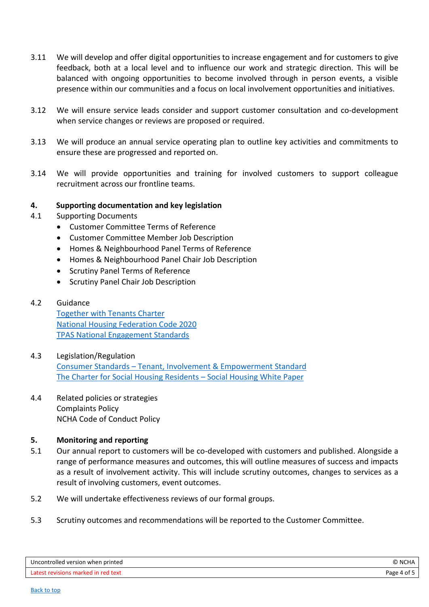- 3.11 We will develop and offer digital opportunities to increase engagement and for customers to give feedback, both at a local level and to influence our work and strategic direction. This will be balanced with ongoing opportunities to become involved through in person events, a visible presence within our communities and a focus on local involvement opportunities and initiatives.
- 3.12 We will ensure service leads consider and support customer consultation and co-development when service changes or reviews are proposed or required.
- 3.13 We will produce an annual service operating plan to outline key activities and commitments to ensure these are progressed and reported on.
- 3.14 We will provide opportunities and training for involved customers to support colleague recruitment across our frontline teams.

### <span id="page-3-0"></span>**4. Supporting documentation and key legislation**

- <span id="page-3-1"></span>4.1 Supporting Documents
	- Customer Committee Terms of Reference
	- Customer Committee Member Job Description
	- Homes & Neighbourhood Panel Terms of Reference
	- Homes & Neighbourhood Panel Chair Job Description
	- Scrutiny Panel Terms of Reference
	- **•** Scrutiny Panel Chair Job Description
- <span id="page-3-2"></span>4.2 Guidance

[Together with Tenants Charter](https://www.housing.org.uk/our-work/together-with-tenants/) [National Housing Federation Code 2020](https://www.housing.org.uk/nhf_catalog/publications/code-of-governance-2020/) TPAS National [Engagement Standards](https://www.tpas.org.uk/tpas-news/tpas-launch-3rd-edition-of-national-tenant-engagement-standards)

- <span id="page-3-3"></span>4.3 Legislation/Regulation Consumer Standards – [Tenant, Involvement & Empowerment Standard](https://www.gov.uk/government/publications/tenant-involvement-and-empowerment-standard) [The Charter for Social Housing Residents](https://www.gov.uk/government/publications/the-charter-for-social-housing-residents-social-housing-white-paper) – Social Housing White Paper
- <span id="page-3-4"></span>4.4 Related policies or strategies Complaints Policy NCHA Code of Conduct Policy

#### <span id="page-3-5"></span>**5. Monitoring and reporting**

- 5.1 Our annual report to customers will be co-developed with customers and published. Alongside a range of performance measures and outcomes, this will outline measures of success and impacts as a result of involvement activity. This will include scrutiny outcomes, changes to services as a result of involving customers, event outcomes.
- 5.2 We will undertake effectiveness reviews of our formal groups.
- 5.3 Scrutiny outcomes and recommendations will be reported to the Customer Committee.

| Uncontrolled version when printed   | <b>NCHA</b> |
|-------------------------------------|-------------|
| Latest revisions marked in red text | Page 4 of " |